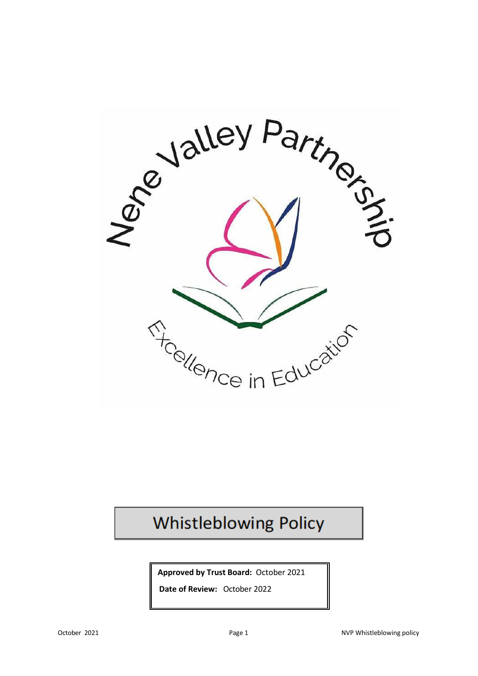

# **Whistleblowing Policy**

**Approved by Trust Board:** October 2021

**Date of Review:** October 2022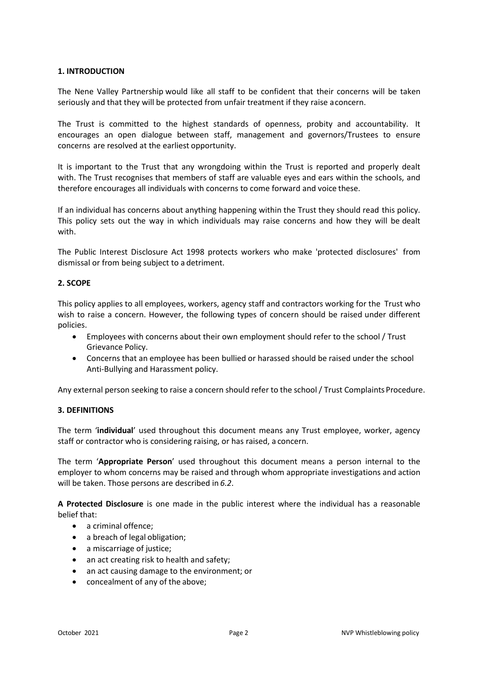## **1. INTRODUCTION**

The Nene Valley Partnership would like all staff to be confident that their concerns will be taken seriously and that they will be protected from unfair treatment if they raise a concern.

The Trust is committed to the highest standards of openness, probity and accountability. It encourages an open dialogue between staff, management and governors/Trustees to ensure concerns are resolved at the earliest opportunity.

It is important to the Trust that any wrongdoing within the Trust is reported and properly dealt with. The Trust recognises that members of staff are valuable eyes and ears within the schools, and therefore encourages all individuals with concerns to come forward and voice these.

If an individual has concerns about anything happening within the Trust they should read this policy. This policy sets out the way in which individuals may raise concerns and how they will be dealt with.

The Public Interest Disclosure Act 1998 protects workers who make 'protected disclosures' from dismissal or from being subject to a detriment.

## **2. SCOPE**

This policy applies to all employees, workers, agency staff and contractors working for the Trust who wish to raise a concern. However, the following types of concern should be raised under different policies.

- Employees with concerns about their own employment should refer to the school / Trust Grievance Policy.
- Concerns that an employee has been bullied or harassed should be raised under the school Anti-Bullying and Harassment policy.

Any external person seeking to raise a concern should refer to the school / Trust Complaints Procedure.

## **3. DEFINITIONS**

The term '**individual**' used throughout this document means any Trust employee, worker, agency staff or contractor who is considering raising, or has raised, a concern.

The term '**Appropriate Person**' used throughout this document means a person internal to the employer to whom concerns may be raised and through whom appropriate investigations and action will be taken. Those persons are described in *6.2*.

**A Protected Disclosure** is one made in the public interest where the individual has a reasonable belief that:

- a criminal offence;
- a breach of legal obligation;
- a miscarriage of justice;
- an act creating risk to health and safety;
- an act causing damage to the environment; or
- concealment of any of the above;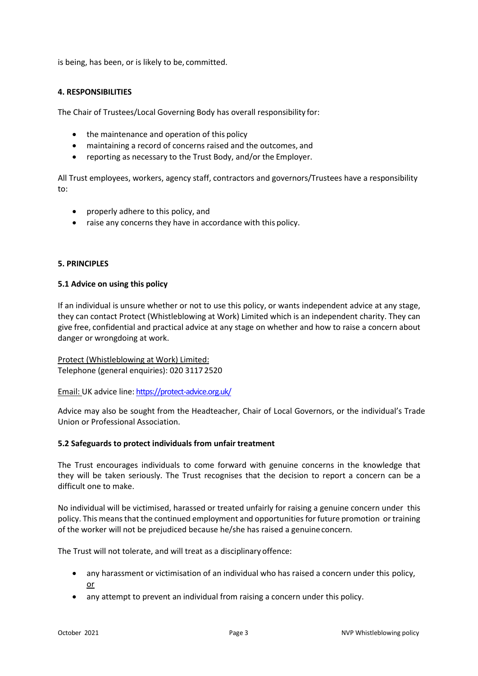is being, has been, or is likely to be, committed.

## **4. RESPONSIBILITIES**

The Chair of Trustees/Local Governing Body has overall responsibility for:

- the maintenance and operation of this policy
- maintaining a record of concerns raised and the outcomes, and
- reporting as necessary to the Trust Body, and/or the Employer.

All Trust employees, workers, agency staff, contractors and governors/Trustees have a responsibility to:

- properly adhere to this policy, and
- raise any concerns they have in accordance with this policy.

## **5. PRINCIPLES**

## **5.1 Advice on using this policy**

If an individual is unsure whether or not to use this policy, or wants independent advice at any stage, they can contact Protect (Whistleblowing at Work) Limited which is an independent charity. They can give free, confidential and practical advice at any stage on whether and how to raise a concern about danger or wrongdoing at work.

Protect (Whistleblowing at Work) Limited: Telephone (general enquiries): 020 3117 2520

Email: UK advice line[: https://protect-advice.org.uk/](https://protect-advice.org.uk/)

Advice may also be sought from the Headteacher, Chair of Local Governors, or the individual's Trade Union or Professional Association.

## **5.2 Safeguards to protect individuals from unfair treatment**

The Trust encourages individuals to come forward with genuine concerns in the knowledge that they will be taken seriously. The Trust recognises that the decision to report a concern can be a difficult one to make.

No individual will be victimised, harassed or treated unfairly for raising a genuine concern under this policy. This means that the continued employment and opportunities for future promotion or training of the worker will not be prejudiced because he/she has raised a genuine concern.

The Trust will not tolerate, and will treat as a disciplinary offence:

- any harassment or victimisation of an individual who has raised a concern under this policy, or
- any attempt to prevent an individual from raising a concern under this policy.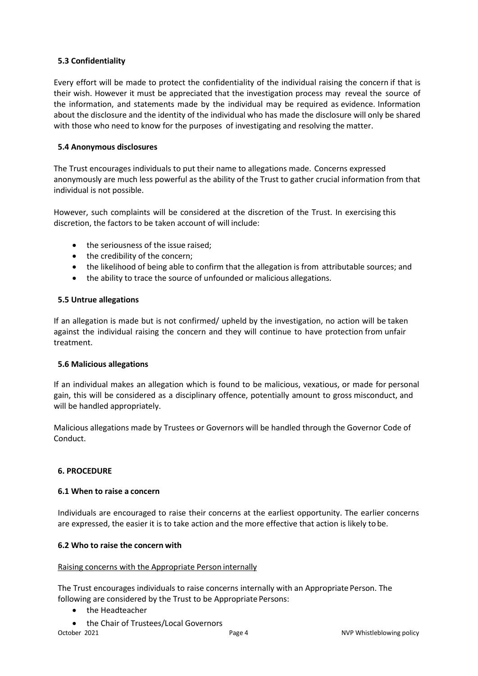# **5.3 Confidentiality**

Every effort will be made to protect the confidentiality of the individual raising the concern if that is their wish. However it must be appreciated that the investigation process may reveal the source of the information, and statements made by the individual may be required as evidence. Information about the disclosure and the identity of the individual who has made the disclosure will only be shared with those who need to know for the purposes of investigating and resolving the matter.

# **5.4 Anonymous disclosures**

The Trust encourages individuals to put their name to allegations made. Concerns expressed anonymously are much less powerful as the ability of the Trust to gather crucial information from that individual is not possible.

However, such complaints will be considered at the discretion of the Trust. In exercising this discretion, the factors to be taken account of will include:

- the seriousness of the issue raised;
- the credibility of the concern;
- the likelihood of being able to confirm that the allegation is from attributable sources; and
- the ability to trace the source of unfounded or malicious allegations.

# **5.5 Untrue allegations**

If an allegation is made but is not confirmed/ upheld by the investigation, no action will be taken against the individual raising the concern and they will continue to have protection from unfair treatment.

# **5.6 Malicious allegations**

If an individual makes an allegation which is found to be malicious, vexatious, or made for personal gain, this will be considered as a disciplinary offence, potentially amount to gross misconduct, and will be handled appropriately.

Malicious allegations made by Trustees or Governors will be handled through the Governor Code of Conduct.

# **6. PROCEDURE**

# **6.1 When to raise a concern**

Individuals are encouraged to raise their concerns at the earliest opportunity. The earlier concerns are expressed, the easier it is to take action and the more effective that action is likely to be.

# **6.2 Who to raise the concern with**

## Raising concerns with the Appropriate Person internally

The Trust encourages individuals to raise concerns internally with an Appropriate Person. The following are considered by the Trust to be Appropriate Persons:

- the Headteacher
- October 2021 **Page 4** Page 4 **Page 4** NVP Whistleblowing policy • the Chair of Trustees/Local Governors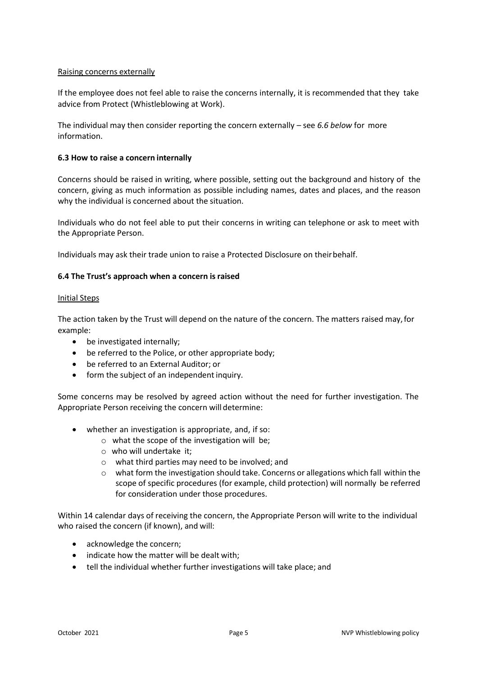## Raising concerns externally

If the employee does not feel able to raise the concerns internally, it is recommended that they take advice from Protect (Whistleblowing at Work).

The individual may then consider reporting the concern externally – see *6.6 below* for more information.

## **6.3 How to raise a concern internally**

Concerns should be raised in writing, where possible, setting out the background and history of the concern, giving as much information as possible including names, dates and places, and the reason why the individual is concerned about the situation.

Individuals who do not feel able to put their concerns in writing can telephone or ask to meet with the Appropriate Person.

Individuals may ask their trade union to raise a Protected Disclosure on their behalf.

## **6.4 The Trust's approach when a concern is raised**

## Initial Steps

The action taken by the Trust will depend on the nature of the concern. The matters raised may, for example:

- be investigated internally;
- be referred to the Police, or other appropriate body;
- be referred to an External Auditor; or
- form the subject of an independent inquiry.

Some concerns may be resolved by agreed action without the need for further investigation. The Appropriate Person receiving the concern will determine:

- whether an investigation is appropriate, and, if so:
	- o what the scope of the investigation will be;
	- o who will undertake it;
	- o what third parties may need to be involved; and
	- $\circ$  what form the investigation should take. Concerns or allegations which fall within the scope of specific procedures (for example, child protection) will normally be referred for consideration under those procedures.

Within 14 calendar days of receiving the concern, the Appropriate Person will write to the individual who raised the concern (if known), and will:

- acknowledge the concern;
- indicate how the matter will be dealt with;
- tell the individual whether further investigations will take place; and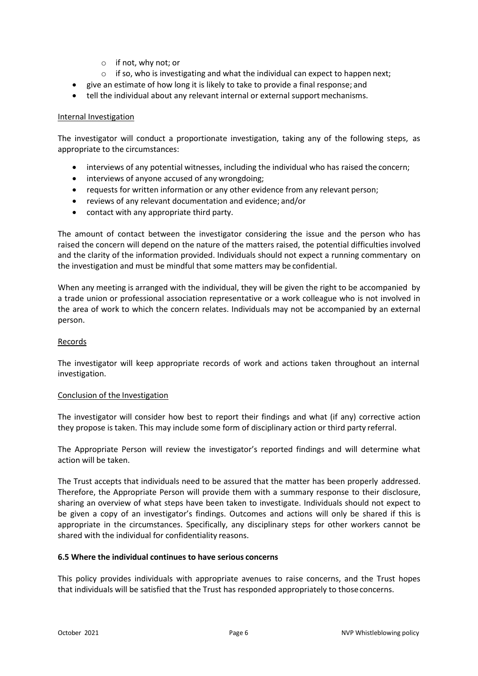- o if not, why not; or
- o if so, who is investigating and what the individual can expect to happen next;
- give an estimate of how long it is likely to take to provide a final response; and
- tell the individual about any relevant internal or external support mechanisms.

#### Internal Investigation

The investigator will conduct a proportionate investigation, taking any of the following steps, as appropriate to the circumstances:

- interviews of any potential witnesses, including the individual who has raised the concern;
- interviews of anyone accused of any wrongdoing;
- requests for written information or any other evidence from any relevant person;
- reviews of any relevant documentation and evidence; and/or
- contact with any appropriate third party.

The amount of contact between the investigator considering the issue and the person who has raised the concern will depend on the nature of the matters raised, the potential difficulties involved and the clarity of the information provided. Individuals should not expect a running commentary on the investigation and must be mindful that some matters may be confidential.

When any meeting is arranged with the individual, they will be given the right to be accompanied by a trade union or professional association representative or a work colleague who is not involved in the area of work to which the concern relates. Individuals may not be accompanied by an external person.

#### Records

The investigator will keep appropriate records of work and actions taken throughout an internal investigation.

#### Conclusion of the Investigation

The investigator will consider how best to report their findings and what (if any) corrective action they propose is taken. This may include some form of disciplinary action or third party referral.

The Appropriate Person will review the investigator's reported findings and will determine what action will be taken.

The Trust accepts that individuals need to be assured that the matter has been properly addressed. Therefore, the Appropriate Person will provide them with a summary response to their disclosure, sharing an overview of what steps have been taken to investigate. Individuals should not expect to be given a copy of an investigator's findings. Outcomes and actions will only be shared if this is appropriate in the circumstances. Specifically, any disciplinary steps for other workers cannot be shared with the individual for confidentiality reasons.

## **6.5 Where the individual continues to have serious concerns**

This policy provides individuals with appropriate avenues to raise concerns, and the Trust hopes that individuals will be satisfied that the Trust has responded appropriately to those concerns.